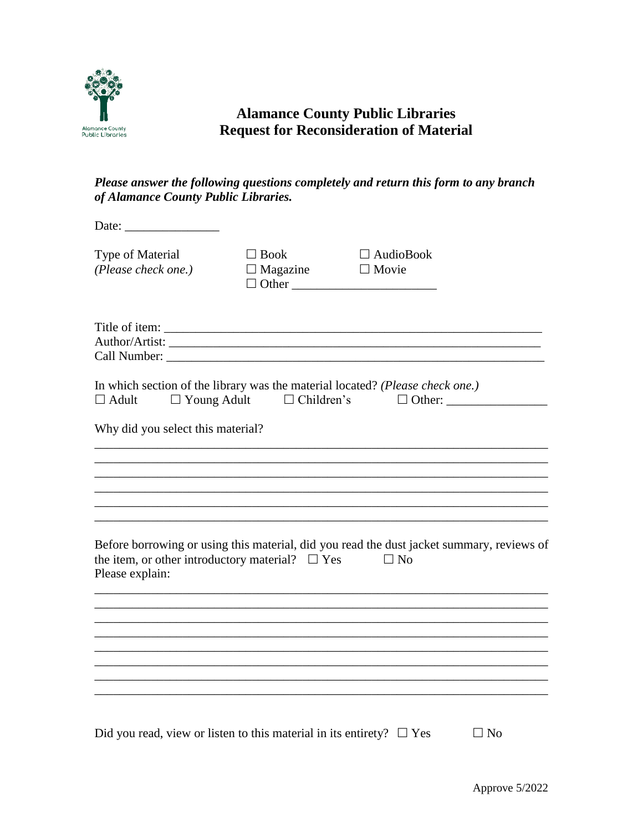

## **Alamance County Public Libraries Request for Reconsideration of Material**

## *Please answer the following questions completely and return this form to any branch of Alamance County Public Libraries.*

| Date: $\frac{1}{\sqrt{1-\frac{1}{2}} \cdot \frac{1}{2}}$                   |                                             |                                                                                                        |           |
|----------------------------------------------------------------------------|---------------------------------------------|--------------------------------------------------------------------------------------------------------|-----------|
| Type of Material<br>(Please check one.)                                    | $\Box$ Book<br>$\Box$ Magazine $\Box$ Movie | $\Box$ AudioBook<br>$\Box$ Other                                                                       |           |
|                                                                            |                                             |                                                                                                        |           |
| $\Box$ Adult $\Box$ Young Adult $\Box$ Children's                          |                                             | In which section of the library was the material located? (Please check one.)                          |           |
| Why did you select this material?                                          |                                             |                                                                                                        |           |
|                                                                            |                                             |                                                                                                        |           |
|                                                                            |                                             |                                                                                                        |           |
| the item, or other introductory material? $\square$ Yes<br>Please explain: |                                             | Before borrowing or using this material, did you read the dust jacket summary, reviews of<br>$\Box$ No |           |
|                                                                            |                                             |                                                                                                        |           |
|                                                                            |                                             |                                                                                                        |           |
|                                                                            |                                             |                                                                                                        |           |
| Did you read, view or listen to this material in its entirety? $\Box$ Yes  |                                             |                                                                                                        | $\Box$ No |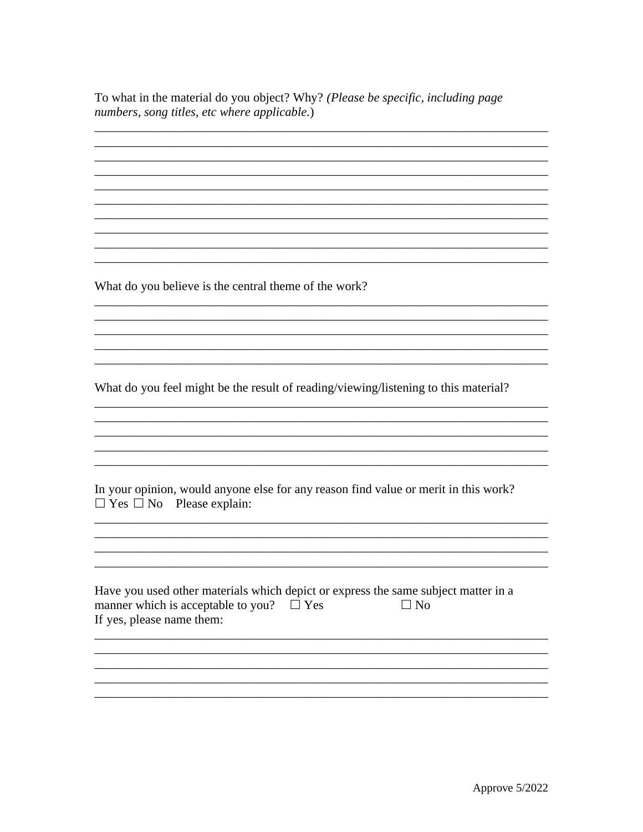To what in the material do you object? Why? (Please be specific, including page numbers, song titles, etc where applicable.)

<u> 1989 - Johann Barn, amerikan bernama di sebagai bernama di sebagai bernama di sebagai bernama di sebagai ber</u>

What do you believe is the central theme of the work?

What do you feel might be the result of reading/viewing/listening to this material?

|  | In your opinion, would anyone else for any reason find value or merit in this work? |  |  |  |
|--|-------------------------------------------------------------------------------------|--|--|--|
|  | $\Box$ Yes $\Box$ No Please explain:                                                |  |  |  |

| Have you used other materials which depict or express the same subject matter in a |           |
|------------------------------------------------------------------------------------|-----------|
| manner which is acceptable to you? $\Box$ Yes                                      | $\Box$ No |
| If yes, please name them:                                                          |           |